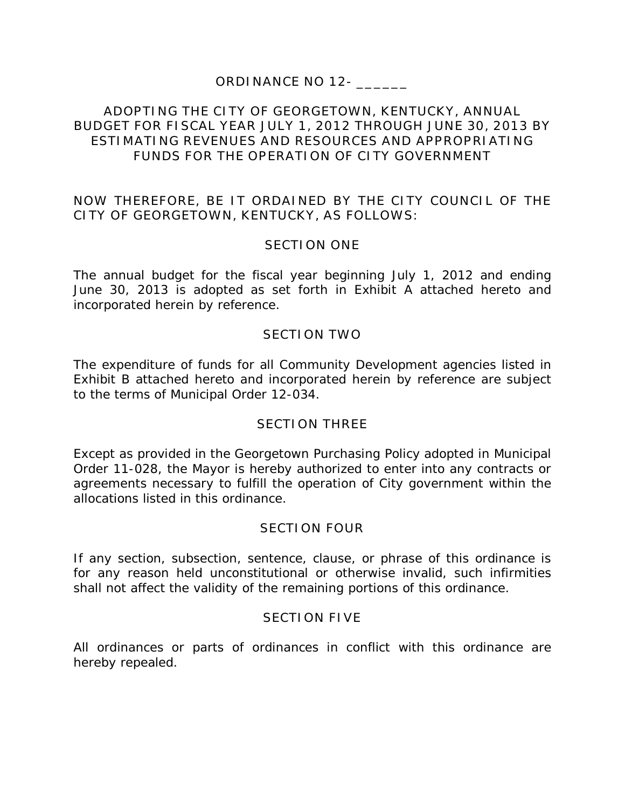# **ORDINANCE NO 12- \_\_\_\_\_\_**

### **ADOPTING THE CITY OF GEORGETOWN, KENTUCKY, ANNUAL BUDGET FOR FISCAL YEAR JULY 1, 2012 THROUGH JUNE 30, 2013 BY ESTIMATING REVENUES AND RESOURCES AND APPROPRIATING FUNDS FOR THE OPERATION OF CITY GOVERNMENT**

### **NOW THEREFORE, BE IT ORDAINED BY THE CITY COUNCIL OF THE CITY OF GEORGETOWN, KENTUCKY, AS FOLLOWS:**

# **SECTION ONE**

The annual budget for the fiscal year beginning July 1, 2012 and ending June 30, 2013 is adopted as set forth in Exhibit A attached hereto and incorporated herein by reference.

## **SECTION TWO**

The expenditure of funds for all Community Development agencies listed in Exhibit B attached hereto and incorporated herein by reference are subject to the terms of Municipal Order 12-034.

### **SECTION THREE**

Except as provided in the Georgetown Purchasing Policy adopted in Municipal Order 11-028, the Mayor is hereby authorized to enter into any contracts or agreements necessary to fulfill the operation of City government within the allocations listed in this ordinance.

### **SECTION FOUR**

If any section, subsection, sentence, clause, or phrase of this ordinance is for any reason held unconstitutional or otherwise invalid, such infirmities shall not affect the validity of the remaining portions of this ordinance.

### **SECTION FIVE**

All ordinances or parts of ordinances in conflict with this ordinance are hereby repealed.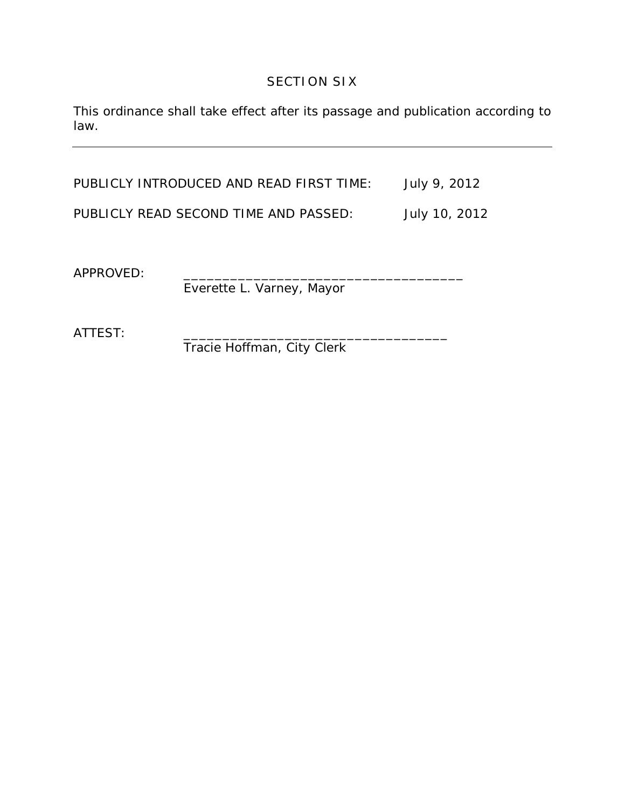## **SECTION SIX**

This ordinance shall take effect after its passage and publication according to law.

PUBLICLY INTRODUCED AND READ FIRST TIME: July 9, 2012 PUBLICLY READ SECOND TIME AND PASSED: July 10, 2012

APPROVED:

Everette L. Varney, Mayor

ATTEST:

Tracie Hoffman, City Clerk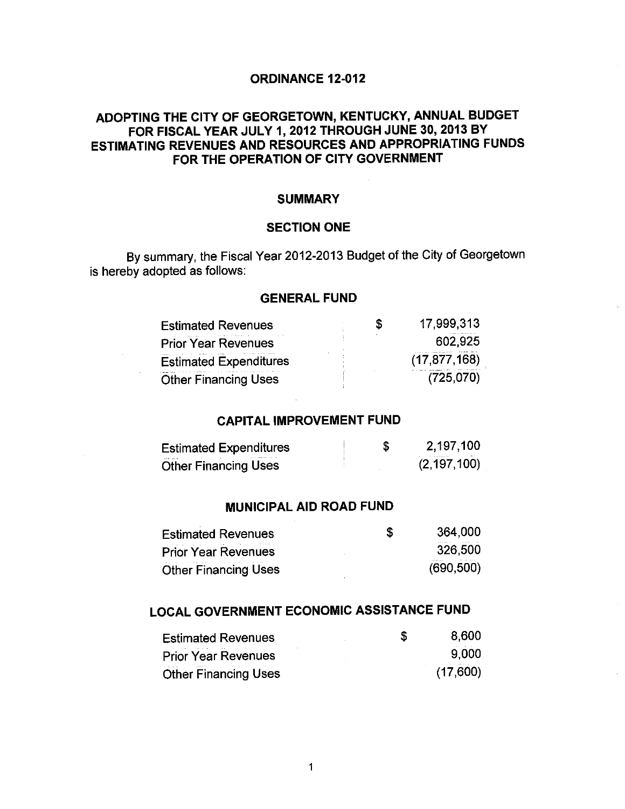#### **ORDINANCE 12-012**

### ADOPTING THE CITY OF GEORGETOWN, KENTUCKY, ANNUAL BUDGET FOR FISCAL YEAR JULY 1, 2012 THROUGH JUNE 30, 2013 BY **ESTIMATING REVENUES AND RESOURCES AND APPROPRIATING FUNDS** FOR THE OPERATION OF CITY GOVERNMENT.

### **SUMMARY**

#### **SECTION ONE**

By summary, the Fiscal Year 2012-2013 Budget of the City of Georgetown is hereby adopted as follows:

#### **GENERAL FUND**

| <b>Estimated Revenues</b>     | S | 17.999,313     |
|-------------------------------|---|----------------|
| <b>Prior Year Revenues</b>    |   | 602.925        |
| <b>Estimated Expenditures</b> |   | (17, 877, 168) |
| <b>Other Financing Uses</b>   |   | (725.070)      |

### **CAPITAL IMPROVEMENT FUND**

| <b>Estimated Expenditures</b> | 2,197,100                     |
|-------------------------------|-------------------------------|
| <b>Other Financing Uses</b>   | $1.01 - 1.0$<br>(2, 197, 100) |

#### **MUNICIPAL AID ROAD FUND**

| <b>Estimated Revenues</b>   | S | 364,000        |
|-----------------------------|---|----------------|
| <b>Prior Year Revenues</b>  |   | 326,500        |
| <b>Other Financing Uses</b> |   | <br>(690, 500) |

# LOCAL GOVERNMENT ECONOMIC ASSISTANCE FUND

| <b>Estimated Revenues</b>   | S. | 8.600    |
|-----------------------------|----|----------|
| <b>Prior Year Revenues</b>  |    | 9.000    |
| <b>Other Financing Uses</b> |    | (17,600) |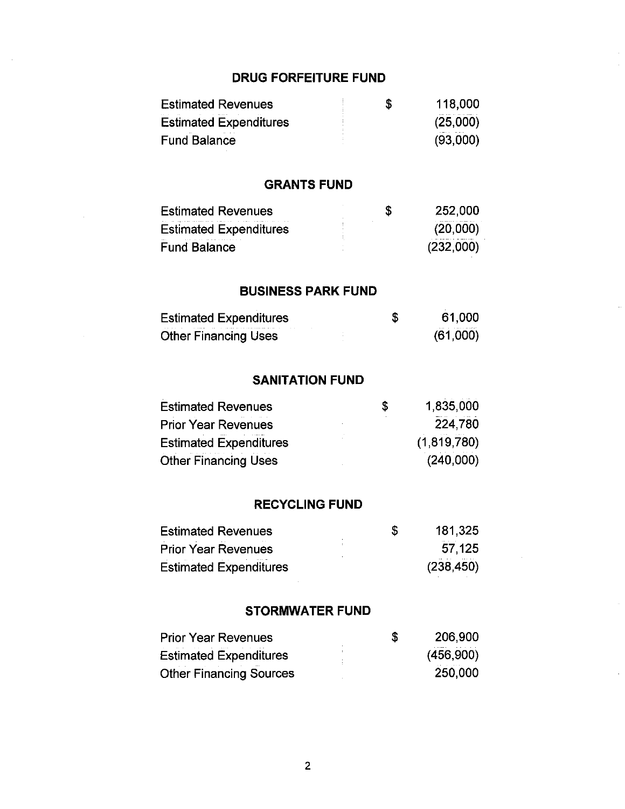# **DRUG FORFEITURE FUND**

 $\bar{\beta}$ 

| <b>Estimated Revenues</b>     | \$<br>118,000   |
|-------------------------------|-----------------|
| <b>Estimated Expenditures</b> | (25,000)        |
| <b>Fund Balance</b>           | (93,000)        |
|                               |                 |
| <b>GRANTS FUND</b>            |                 |
| <b>Estimated Revenues</b>     | \$<br>252,000   |
| <b>Estimated Expenditures</b> | (20,000)        |
| <b>Fund Balance</b>           | (232,000)       |
|                               |                 |
| <b>BUSINESS PARK FUND</b>     |                 |
| <b>Estimated Expenditures</b> | \$<br>61,000    |
| <b>Other Financing Uses</b>   | (61,000)        |
|                               |                 |
| <b>SANITATION FUND</b>        |                 |
|                               |                 |
| <b>Estimated Revenues</b>     | \$<br>1,835,000 |
| <b>Prior Year Revenues</b>    | 224,780         |
| <b>Estimated Expenditures</b> | (1,819,780)     |
| <b>Other Financing Uses</b>   | (240,000)       |
|                               |                 |
| <b>RECYCLING FUND</b>         |                 |
| <b>Estimated Revenues</b>     | \$<br>181,325   |
| <b>Prior Year Revenues</b>    | 57,125          |
| <b>Estimated Expenditures</b> | (238, 450)      |
|                               |                 |
| <b>STORMWATER FUND</b>        |                 |
| <b>Prior Year Revenues</b>    | \$<br>206,900   |
| <b>Estimated Expenditures</b> | (456,900)       |

 $\overline{\phantom{a}}$ 

 $\ddot{\phantom{a}}$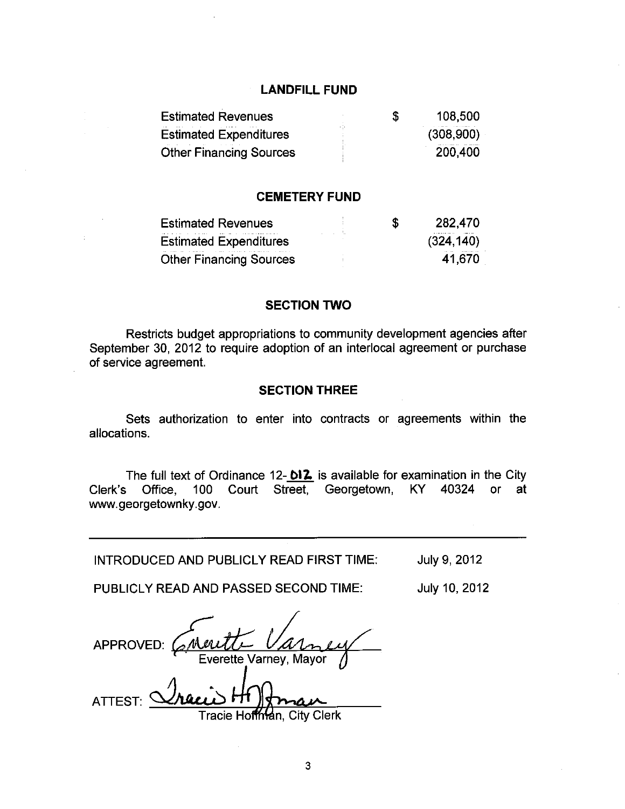#### **LANDFILL FUND**

| <b>Estimated Revenues</b>      | S | 108,500   |
|--------------------------------|---|-----------|
| <b>Estimated Expenditures</b>  |   | (308,900) |
| <b>Other Financing Sources</b> |   | 200,400   |

#### **CEMETERY FUND**

| <b>Estimated Revenues</b>      | S | 282,470    |
|--------------------------------|---|------------|
| <b>Estimated Expenditures</b>  |   | (324, 140) |
| <b>Other Financing Sources</b> |   | 41,670     |

#### **SECTION TWO**

Restricts budget appropriations to community development agencies after September 30, 2012 to require adoption of an interlocal agreement or purchase of service agreement.

#### **SECTION THREE**

Sets authorization to enter into contracts or agreements within the allocations.

The full text of Ordinance 12-012 is available for examination in the City 100 Court Street, Georgetown, KY 40324 or Clerk's Office, at www.georgetownky.gov.

INTRODUCED AND PUBLICLY READ FIRST TIME:

July 9, 2012

July 10, 2012

PUBLICLY READ AND PASSED SECOND TIME:

APPROVED: erette Varney, Mayor **ATTEST:** 

**City Clerk** I racie

3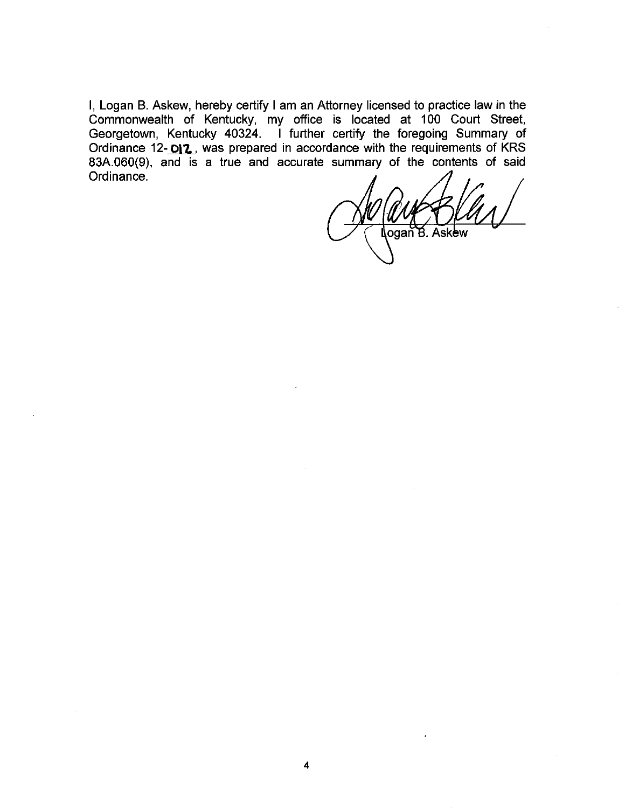I, Logan B. Askew, hereby certify I am an Attorney licensed to practice law in the Commonwealth of Kentucky, my office is located at 100 Court Street, Georgetown, Kentucky 40324. I further certify the foregoing Summary of<br>Ordinance 12-**DI2**, was prepared in accordance with the requirements of KRS<br>83A.060(9), and is a true and accurate summary of the contents of said Ordinance.

ogan B. Askew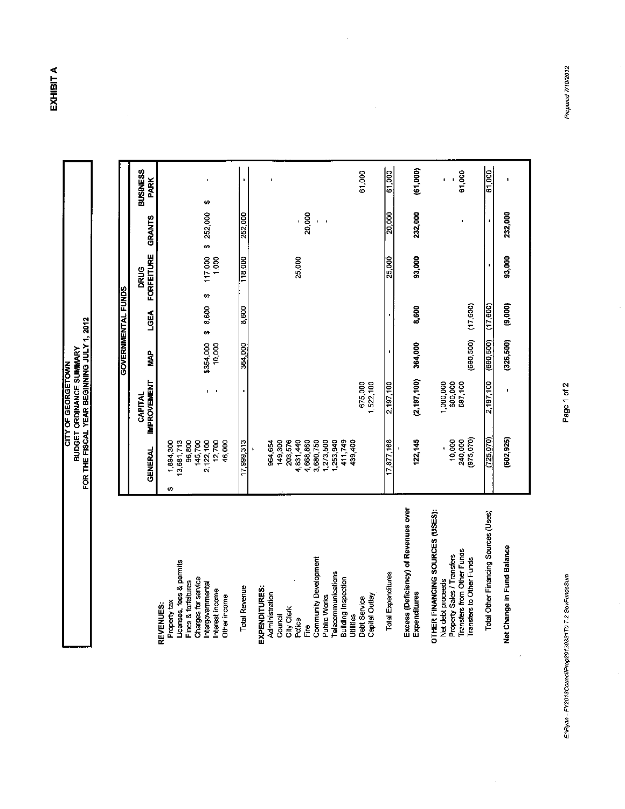EXHIBIT A

 $\frac{1}{2}$ 

**CITY OF GEORGETOWN<br>BUDGET ORDINANCE SUMMARY**<br>FOR THE FISCAL YEAR BEGINNING JULY 1, 2012

|                                                                                                                                                                                                 |                                                                                                                      |                                 |                     | GOVERNMENTAL FUNDS |                           |                   |                                |
|-------------------------------------------------------------------------------------------------------------------------------------------------------------------------------------------------|----------------------------------------------------------------------------------------------------------------------|---------------------------------|---------------------|--------------------|---------------------------|-------------------|--------------------------------|
|                                                                                                                                                                                                 | GENERAL                                                                                                              | <b>IMPROVEMENT</b><br>CAPITAL   | <b>MAP</b>          | <b>LGEA</b>        | <b>FORFEITURE</b><br>DRUG | <b>GRANTS</b>     | <b>BUSINESS</b><br><b>PARK</b> |
| Licenses, fees & permits<br>Charges for service<br>Fines & forfeitures<br>Intergovernmental<br>Interest income<br>Other income<br>Property tax<br>REVENUES:                                     | 13,681,713<br>96,800<br>2,122,100<br>12,700<br>1,894,300<br>145,700<br>46,000<br>ø                                   | $\overline{\phantom{a}}$<br>r.  | \$354,000<br>10,000 | ¢,<br>\$8,600      | 117,000<br>1,000          | \$252,000         | í.<br>÷                        |
| <b>Total Revenue</b>                                                                                                                                                                            | 17,999.313                                                                                                           |                                 | 364,000             | 8.600              | 118,000                   | 252,000           |                                |
| <b>Community Development</b><br>Telecommunications<br><b>Building Inspection</b><br>EXPENDITURES:<br>Administration<br>Public Works<br>City Clerk<br>Utilities<br>Council<br>Police<br>مع<br>تا | 1,273,500<br>1,253,940<br>411,749<br>149,300<br>203,576<br>4,831,440<br>4,668,860<br>3,680,750<br>964,654<br>439,400 |                                 |                     |                    | 25,000                    | 20,000<br>ĭ.<br>ı |                                |
| Capital Outlay<br><b>Debt Service</b>                                                                                                                                                           |                                                                                                                      | 675,000<br>1,522,100            |                     |                    |                           |                   | 61,000                         |
| <b>Total Expenditures</b>                                                                                                                                                                       | $\frac{17,877,168}{6}$                                                                                               | 2,197,100                       |                     |                    | 25,000                    | 20,000            | 61,000                         |
| Excess (Deficiency) of Revenues over<br>Expenditures                                                                                                                                            | 122,145                                                                                                              | (2, 197, 100)                   | 364,000             | 8,600              | 93,000                    | 232,000           | (61,000)                       |
| OTHER FINANCING SOURCES (USES):<br>Transfers from Other Funds<br>Property Sales / Transfers<br>Transfers to Other Funds<br>Net debt proceeds                                                    | (975 070)<br>10,000<br>240,000                                                                                       | 1,000,000<br>600,000<br>597 100 | (690, 500)          | (17,600)           |                           |                   | 61,000<br>t                    |
| Total Other Financing Sources (Uses)                                                                                                                                                            | (725.070)                                                                                                            | 2,197 100                       | (690, 500)          | (17,600)           | f,                        | $\mathbf{I}$      | 61,000                         |
| Net Change in Fund Balance                                                                                                                                                                      | (602, 925)                                                                                                           |                                 | (326, 500)          | (9,000)            | 93,000                    | 232,000           |                                |

Prepared 7/10/2012

Page 1 of 2

 $\ddot{\cdot}$ 

E:\Ryan - FY2013CouncilProp20120331T0 7-2 GovFundsSum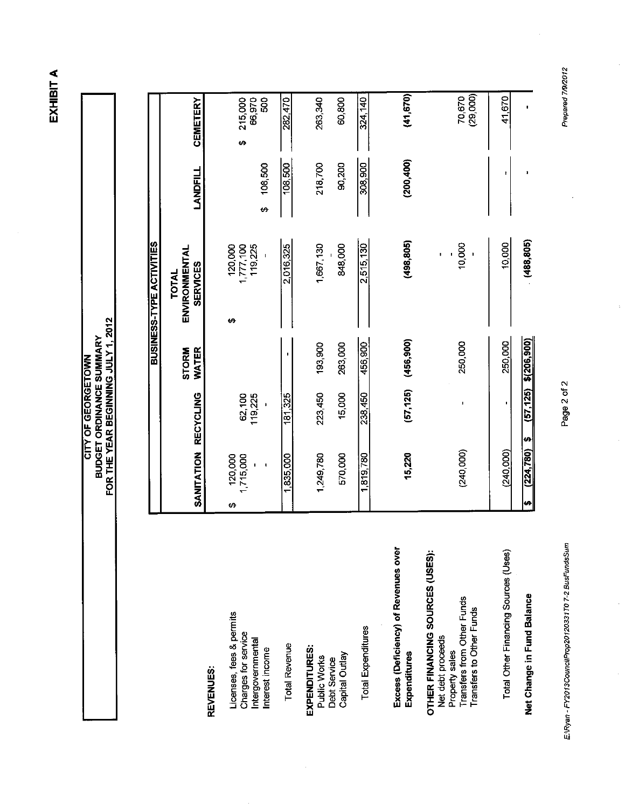EXHIBIT A

**BUDGET ORDINANCE SUMMARY<br>FOR THE YEAR BEGINNING JULY 1, 2012** CITY OF GEORGETOWN

**BUSINESS-TYPE ACTIVITIES** 

| ۰ |
|---|
|   |
|   |
|   |

Licenses, fees & permits Charges for service Intergovernmental Interest income

**Total Revenue** 

EXPENDITURES: Debt Service<br>Capital Outlay Public Works

Total Expenditures

Excess (Deficiency) of Revenues over Expenditures

OTHER FINANCING SOURCES (USES): Property sales<br>Transfers from Other Funds<br>Transfers to Other Funds Net debt proceeds

Total Other Financing Sources (Uses)

Net Change in Fund Balance

E:\Ryan - FY2013CouncilProp20120331T0 7-2 BusFundsSum

ŀ

| SANITATION               | <b>RECYCLING</b>  | WATER<br><b>STORM</b> | ENVIRONMENTAL<br><b>SERVICES</b><br>TOTAL | <b>LANDFILL</b> | <b>CEMETERY</b>               |
|--------------------------|-------------------|-----------------------|-------------------------------------------|-----------------|-------------------------------|
| 120,000<br>1715,000<br>↮ | 119,225<br>62,100 |                       | 119,225<br>120,000<br>1,777,100<br>69     | 108,500<br>÷,   | 215,000<br>500<br>66,970<br>↔ |
| 1,835,000                | 181,325           |                       | 2,016,325                                 | 108,500         | 282.470                       |
| 1,249,780                | 223,450           | 193,900               | 1,667,130                                 | 218700          | 263,340                       |
| 570,000                  | 15,000            | 263,000               | 848,000                                   | 90,200          | 60,800                        |
| 1,819,780                | 238,450           | 456,900               | 2,515,130                                 | 308,900         | 324, 140                      |
| 15,220                   | (57, 125)         | (456, 900)            | (498, 805)                                | (200, 400)      | (41, 670)                     |
| (240,000)                | $\mathbf{I}$      | 250,000               | 10,000                                    |                 | (29,000)<br>70,670            |
| (240,000)                | $\blacksquare$    | 250,000               | 10,000                                    | r               | 41,670                        |
| (224, 780)<br>H          | (57, 125)<br>Ø    | $$$ (206,900)         | (488, 805)                                | z               |                               |

Prepared 7/9/2012

Page 2 of 2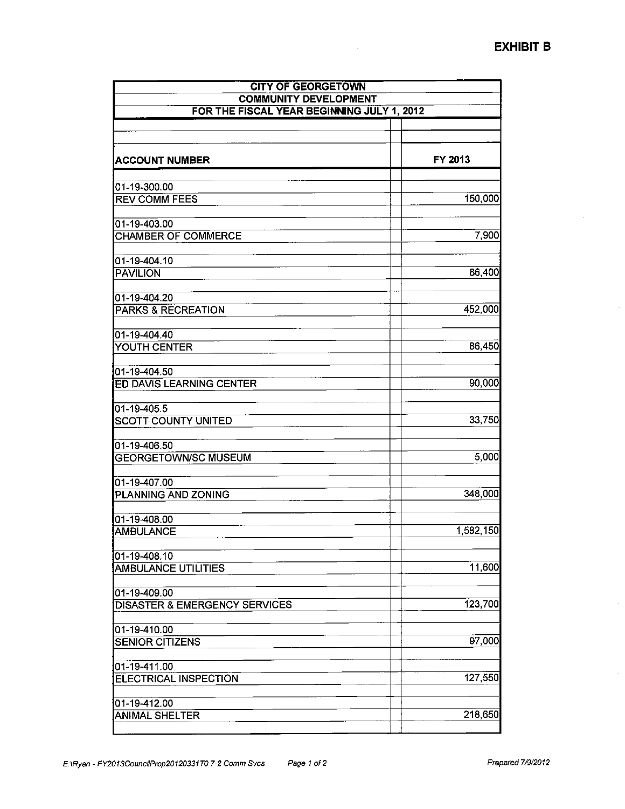| <b>CITY OF GEORGETOWN</b><br><b>COMMUNITY DEVELOPMENT</b><br>FOR THE FISCAL YEAR BEGINNING JULY 1, 2012 |           |  |
|---------------------------------------------------------------------------------------------------------|-----------|--|
|                                                                                                         |           |  |
| <b>ACCOUNT NUMBER</b>                                                                                   | FY 2013   |  |
| 01-19-300.00                                                                                            |           |  |
| <b>REV COMM FEES</b>                                                                                    | 150,000   |  |
| 01-19-403.00                                                                                            |           |  |
| <b>CHAMBER OF COMMERCE</b>                                                                              | 7,900     |  |
| 01-19-404.10                                                                                            |           |  |
| <b>PAVILION</b>                                                                                         | 86,400    |  |
| 01-19-404.20                                                                                            |           |  |
| <b>PARKS &amp; RECREATION</b>                                                                           | 452,000   |  |
| 01-19-404.40<br>YOUTH CENTER                                                                            | 86,450    |  |
|                                                                                                         |           |  |
| 01-19-404.50<br>ED DAVIS LEARNING CENTER                                                                | 90,000    |  |
|                                                                                                         |           |  |
| 01-19-405.5<br><b>SCOTT COUNTY UNITED</b>                                                               | 33,750    |  |
|                                                                                                         |           |  |
| 01-19-406.50<br><b>GEORGETOWN/SC MUSEUM</b>                                                             | 5,000     |  |
| 01-19-407.00                                                                                            |           |  |
| PLANNING AND ZONING                                                                                     | 348,000   |  |
| 01-19-408.00                                                                                            |           |  |
| <b>AMBULANCE</b>                                                                                        | 1,582,150 |  |
| 01-19-408.10                                                                                            |           |  |
| <b>AMBULANCE UTILITIES</b>                                                                              | 11,600    |  |
| 01-19-409.00                                                                                            | 123,700   |  |
| <b>DISASTER &amp; EMERGENCY SERVICES</b>                                                                |           |  |
| 01-19-410.00<br><b>SENIOR CITIZENS</b>                                                                  | 97,000    |  |
|                                                                                                         |           |  |
| 01-19-411.00<br><b>ELECTRICAL INSPECTION</b>                                                            | 127,550   |  |
|                                                                                                         |           |  |
| 01-19-412.00<br><b>ANIMAL SHELTER</b>                                                                   | 218,650   |  |
|                                                                                                         |           |  |

 $\sim$ 

 $\ddot{\phantom{a}}$